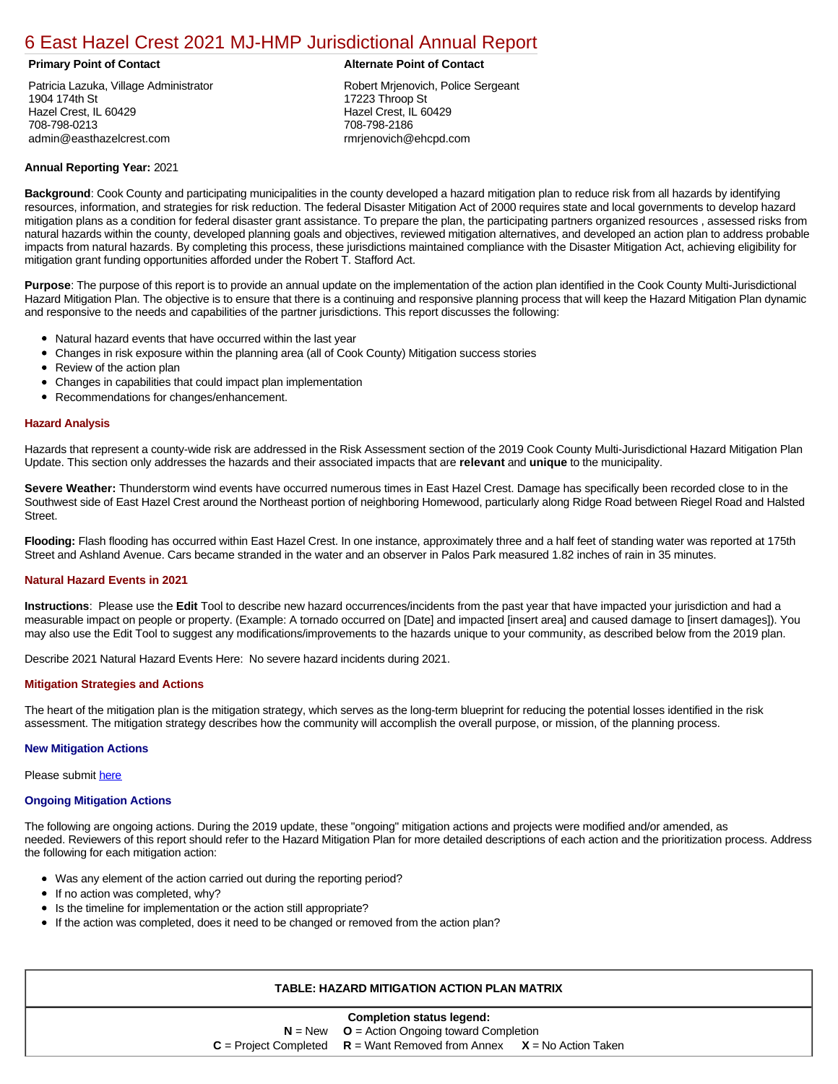# [6 East Hazel Crest 2021 MJ-HMP Jurisdictional Annual Report](https://easthazel.isc-cemp.com/Cemp/Details?id=8322830)

Patricia Lazuka, Village Administrator 1904 174th St Hazel Crest, IL 60429 708-798-0213 admin@easthazelcrest.com

### **Primary Point of Contact Alternate Point of Contact**

Robert Mrjenovich, Police Sergeant 17223 Throop St Hazel Crest, IL 60429 708-798-2186 rmrjenovich@ehcpd.com

# **Annual Reporting Year:** 2021

**Background**: Cook County and participating municipalities in the county developed a hazard mitigation plan to reduce risk from all hazards by identifying resources, information, and strategies for risk reduction. The federal Disaster Mitigation Act of 2000 requires state and local governments to develop hazard mitigation plans as a condition for federal disaster grant assistance. To prepare the plan, the participating partners organized resources , assessed risks from natural hazards within the county, developed planning goals and objectives, reviewed mitigation alternatives, and developed an action plan to address probable impacts from natural hazards. By completing this process, these jurisdictions maintained compliance with the Disaster Mitigation Act, achieving eligibility for mitigation grant funding opportunities afforded under the Robert T. Stafford Act.

**Purpose**: The purpose of this report is to provide an annual update on the implementation of the action plan identified in the Cook County Multi-Jurisdictional Hazard Mitigation Plan. The objective is to ensure that there is a continuing and responsive planning process that will keep the Hazard Mitigation Plan dynamic and responsive to the needs and capabilities of the partner jurisdictions. This report discusses the following:

- Natural hazard events that have occurred within the last year
- $\bullet$ Changes in risk exposure within the planning area (all of Cook County) Mitigation success stories
- Review of the action plan  $\bullet$
- $\bullet$ Changes in capabilities that could impact plan implementation
- Recommendations for changes/enhancement.  $\bullet$

### **Hazard Analysis**

Hazards that represent a county-wide risk are addressed in the Risk Assessment section of the 2019 Cook County Multi-Jurisdictional Hazard Mitigation Plan Update. This section only addresses the hazards and their associated impacts that are **relevant** and **unique** to the municipality.

**Severe Weather:** Thunderstorm wind events have occurred numerous times in East Hazel Crest. Damage has specifically been recorded close to in the Southwest side of East Hazel Crest around the Northeast portion of neighboring Homewood, particularly along Ridge Road between Riegel Road and Halsted **Street** 

**Flooding:** Flash flooding has occurred within East Hazel Crest. In one instance, approximately three and a half feet of standing water was reported at 175th Street and Ashland Avenue. Cars became stranded in the water and an observer in Palos Park measured 1.82 inches of rain in 35 minutes.

#### **Natural Hazard Events in 2021**

**Instructions**: Please use the **Edit** Tool to describe new hazard occurrences/incidents from the past year that have impacted your jurisdiction and had a measurable impact on people or property. (Example: A tornado occurred on [Date] and impacted [insert area] and caused damage to [insert damages]). You may also use the Edit Tool to suggest any modifications/improvements to the hazards unique to your community, as described below from the 2019 plan.

Describe 2021 Natural Hazard Events Here: No severe hazard incidents during 2021.

# **Mitigation Strategies and Actions**

The heart of the mitigation plan is the mitigation strategy, which serves as the long-term blueprint for reducing the potential losses identified in the risk assessment. The mitigation strategy describes how the community will accomplish the overall purpose, or mission, of the planning process.

#### **New Mitigation Actions**

Please submit [here](https://integratedsolutions.wufoo.com/forms/mg21jvf0jn639o/)

#### **Ongoing Mitigation Actions**

The following are ongoing actions. During the 2019 update, these "ongoing" mitigation actions and projects were modified and/or amended, as needed. Reviewers of this report should refer to the Hazard Mitigation Plan for more detailed descriptions of each action and the prioritization process. Address the following for each mitigation action:

- Was any element of the action carried out during the reporting period?
- If no action was completed, why?
- Is the timeline for implementation or the action still appropriate?
- If the action was completed, does it need to be changed or removed from the action plan?

# **TABLE: HAZARD MITIGATION ACTION PLAN MATRIX**

| <b>Completion status legend:</b> |                                                                             |  |  |  |  |
|----------------------------------|-----------------------------------------------------------------------------|--|--|--|--|
|                                  | $N = New$ $Q =$ Action Ongoing toward Completion                            |  |  |  |  |
|                                  | $C =$ Project Completed $R =$ Want Removed from Annex $X =$ No Action Taken |  |  |  |  |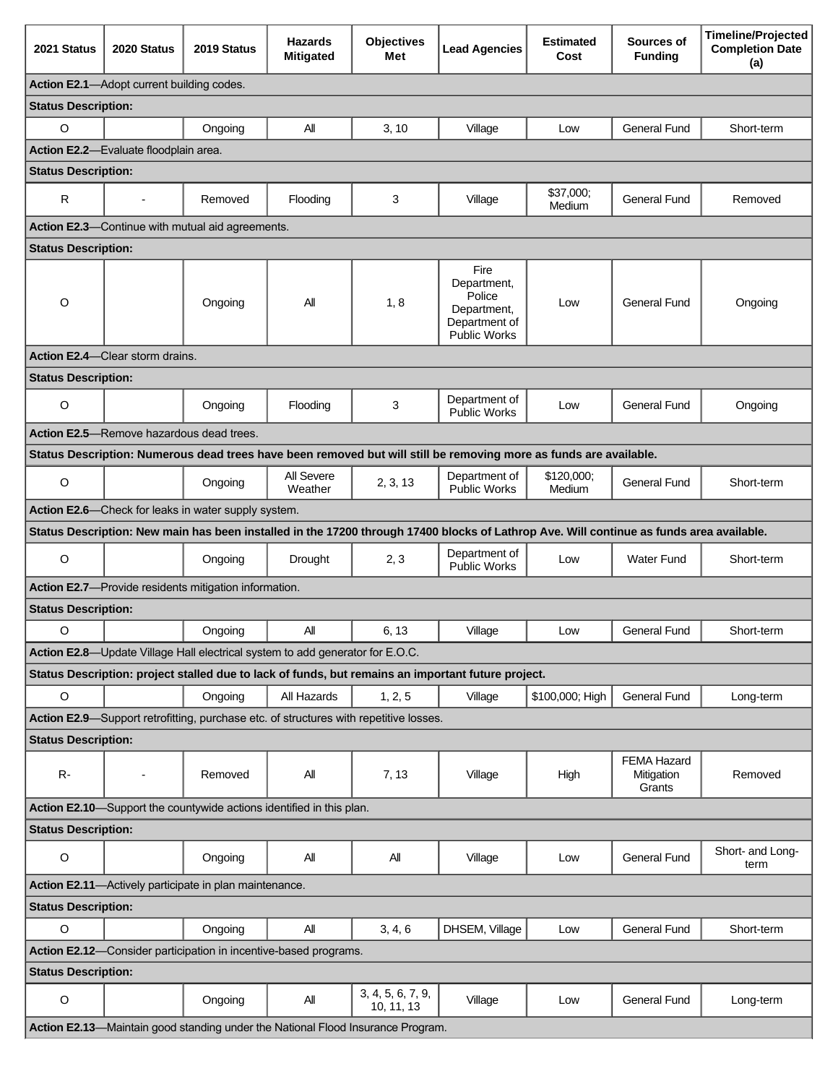| 2021 Status                                                                           | 2020 Status                                      | 2019 Status                                                                   | <b>Hazards</b><br><b>Mitigated</b> | <b>Objectives</b><br>Met                                                        | <b>Lead Agencies</b>                                                                                                                     | <b>Estimated</b><br>Cost | Sources of<br><b>Funding</b>        | <b>Timeline/Projected</b><br><b>Completion Date</b><br>(a) |
|---------------------------------------------------------------------------------------|--------------------------------------------------|-------------------------------------------------------------------------------|------------------------------------|---------------------------------------------------------------------------------|------------------------------------------------------------------------------------------------------------------------------------------|--------------------------|-------------------------------------|------------------------------------------------------------|
| Action E2.1-Adopt current building codes.                                             |                                                  |                                                                               |                                    |                                                                                 |                                                                                                                                          |                          |                                     |                                                            |
| <b>Status Description:</b>                                                            |                                                  |                                                                               |                                    |                                                                                 |                                                                                                                                          |                          |                                     |                                                            |
| $\circ$                                                                               |                                                  | Ongoing                                                                       | All                                | 3, 10                                                                           | Village                                                                                                                                  | Low                      | <b>General Fund</b>                 | Short-term                                                 |
|                                                                                       | Action E2.2-Evaluate floodplain area.            |                                                                               |                                    |                                                                                 |                                                                                                                                          |                          |                                     |                                                            |
| <b>Status Description:</b>                                                            |                                                  |                                                                               |                                    |                                                                                 |                                                                                                                                          |                          |                                     |                                                            |
| R                                                                                     |                                                  | Removed                                                                       | Flooding                           | 3                                                                               | Village                                                                                                                                  | \$37,000;<br>Medium      | <b>General Fund</b>                 | Removed                                                    |
|                                                                                       |                                                  | Action E2.3-Continue with mutual aid agreements.                              |                                    |                                                                                 |                                                                                                                                          |                          |                                     |                                                            |
| <b>Status Description:</b>                                                            |                                                  |                                                                               |                                    |                                                                                 |                                                                                                                                          |                          |                                     |                                                            |
| $\circ$                                                                               |                                                  | Ongoing                                                                       | All                                | 1, 8                                                                            | Fire<br>Department,<br>Police<br>Department,<br>Department of<br><b>Public Works</b>                                                     | Low                      | General Fund                        | Ongoing                                                    |
|                                                                                       | Action E2.4-Clear storm drains.                  |                                                                               |                                    |                                                                                 |                                                                                                                                          |                          |                                     |                                                            |
| <b>Status Description:</b>                                                            |                                                  |                                                                               |                                    |                                                                                 |                                                                                                                                          |                          |                                     |                                                            |
| $\circ$                                                                               |                                                  | Ongoing                                                                       | Flooding                           | 3                                                                               | Department of<br>Public Works                                                                                                            | Low                      | General Fund                        | Ongoing                                                    |
|                                                                                       | <b>Action E2.5</b> —Remove hazardous dead trees. |                                                                               |                                    |                                                                                 |                                                                                                                                          |                          |                                     |                                                            |
|                                                                                       |                                                  |                                                                               |                                    |                                                                                 | Status Description: Numerous dead trees have been removed but will still be removing more as funds are available.                        |                          |                                     |                                                            |
| $\circ$                                                                               |                                                  | Ongoing                                                                       | All Severe<br>Weather              | 2, 3, 13                                                                        | Department of<br><b>Public Works</b>                                                                                                     | \$120,000;<br>Medium     | <b>General Fund</b>                 | Short-term                                                 |
|                                                                                       |                                                  | Action E2.6-Check for leaks in water supply system.                           |                                    |                                                                                 |                                                                                                                                          |                          |                                     |                                                            |
|                                                                                       |                                                  |                                                                               |                                    |                                                                                 | Status Description: New main has been installed in the 17200 through 17400 blocks of Lathrop Ave. Will continue as funds area available. |                          |                                     |                                                            |
| $\circ$                                                                               |                                                  | Ongoing                                                                       | Drought                            | 2, 3                                                                            | Department of<br><b>Public Works</b>                                                                                                     | Low                      | <b>Water Fund</b>                   | Short-term                                                 |
|                                                                                       |                                                  | Action E2.7-Provide residents mitigation information.                         |                                    |                                                                                 |                                                                                                                                          |                          |                                     |                                                            |
| <b>Status Description:</b>                                                            |                                                  |                                                                               |                                    |                                                                                 |                                                                                                                                          |                          |                                     |                                                            |
| $\circ$                                                                               |                                                  | Ongoing                                                                       | Αll                                | 6, 13                                                                           | Village                                                                                                                                  | Low                      | General Fund                        | Short-term                                                 |
|                                                                                       |                                                  | Action E2.8-Update Village Hall electrical system to add generator for E.O.C. |                                    |                                                                                 |                                                                                                                                          |                          |                                     |                                                            |
|                                                                                       |                                                  |                                                                               |                                    |                                                                                 | Status Description: project stalled due to lack of funds, but remains an important future project.                                       |                          |                                     |                                                            |
| $\circ$                                                                               |                                                  | Ongoing                                                                       | All Hazards                        | 1, 2, 5                                                                         | Village                                                                                                                                  | \$100,000; High          | General Fund                        | Long-term                                                  |
| Action E2.9—Support retrofitting, purchase etc. of structures with repetitive losses. |                                                  |                                                                               |                                    |                                                                                 |                                                                                                                                          |                          |                                     |                                                            |
| <b>Status Description:</b>                                                            |                                                  |                                                                               |                                    |                                                                                 |                                                                                                                                          |                          |                                     |                                                            |
| $R -$                                                                                 | ÷,                                               | Removed                                                                       | All                                | 7, 13                                                                           | Village                                                                                                                                  | High                     | FEMA Hazard<br>Mitigation<br>Grants | Removed                                                    |
|                                                                                       |                                                  | Action E2.10-Support the countywide actions identified in this plan.          |                                    |                                                                                 |                                                                                                                                          |                          |                                     |                                                            |
| <b>Status Description:</b>                                                            |                                                  |                                                                               |                                    |                                                                                 |                                                                                                                                          |                          |                                     |                                                            |
| $\circ$                                                                               |                                                  | Ongoing                                                                       | Αll                                | All                                                                             | Village                                                                                                                                  | Low                      | General Fund                        | Short- and Long-<br>term                                   |
| Action E2.11-Actively participate in plan maintenance.                                |                                                  |                                                                               |                                    |                                                                                 |                                                                                                                                          |                          |                                     |                                                            |
| <b>Status Description:</b>                                                            |                                                  |                                                                               |                                    |                                                                                 |                                                                                                                                          |                          |                                     |                                                            |
| $\circ$                                                                               |                                                  | Ongoing                                                                       | All                                | 3, 4, 6                                                                         | DHSEM, Village                                                                                                                           | Low                      | <b>General Fund</b>                 | Short-term                                                 |
| Action E2.12-Consider participation in incentive-based programs.                      |                                                  |                                                                               |                                    |                                                                                 |                                                                                                                                          |                          |                                     |                                                            |
| <b>Status Description:</b>                                                            |                                                  |                                                                               |                                    |                                                                                 |                                                                                                                                          |                          |                                     |                                                            |
| $\mathsf O$                                                                           |                                                  | Ongoing                                                                       | All                                | 3, 4, 5, 6, 7, 9,<br>10, 11, 13                                                 | Village                                                                                                                                  | Low                      | <b>General Fund</b>                 | Long-term                                                  |
|                                                                                       |                                                  |                                                                               |                                    | Action E2.13-Maintain good standing under the National Flood Insurance Program. |                                                                                                                                          |                          |                                     |                                                            |